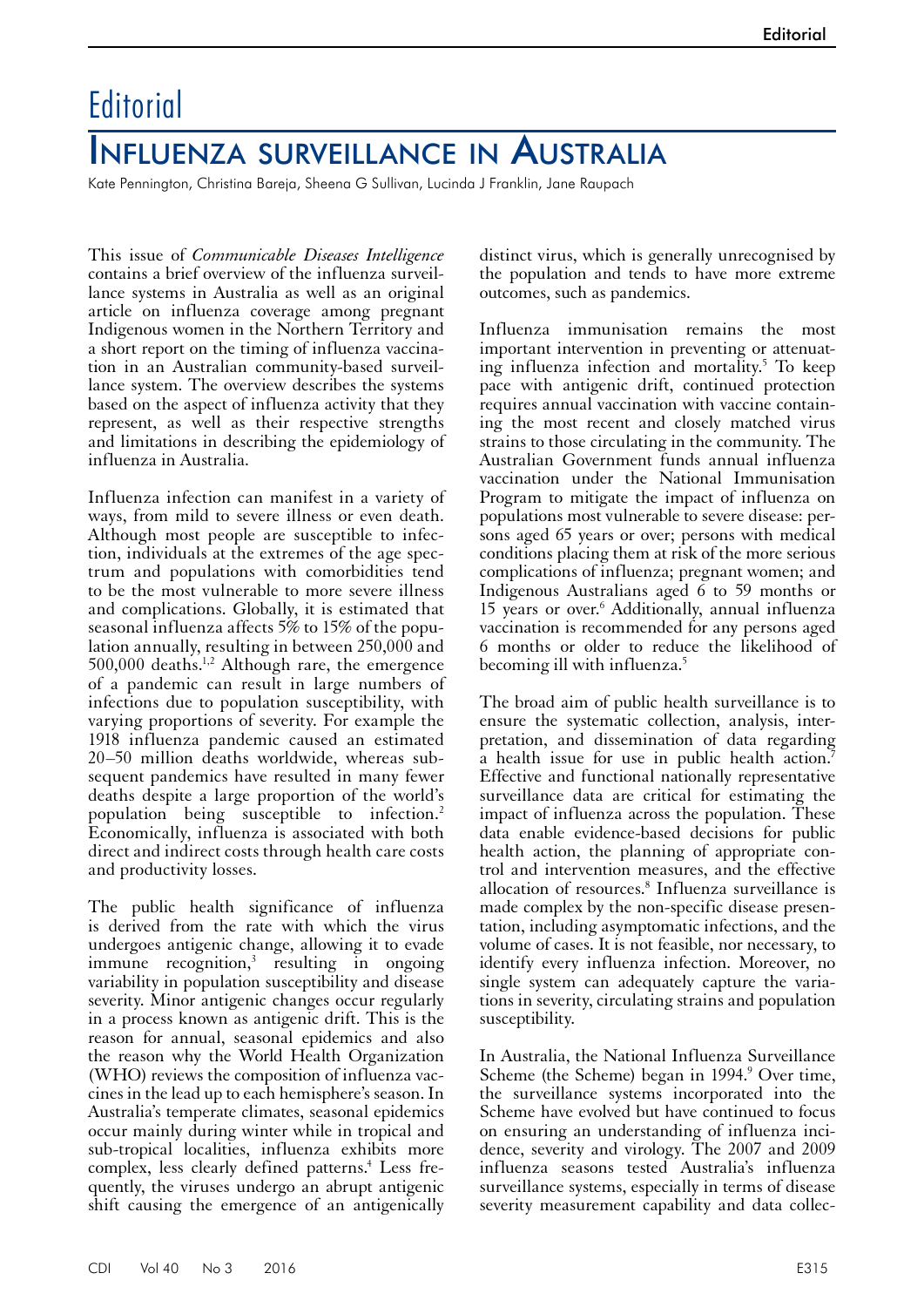## **Editorial**

## Influenza surveillance in Australia

Kate Pennington, Christina Bareja, Sheena G Sullivan, Lucinda J Franklin, Jane Raupach

This issue of *Communicable Diseases Intelligence* contains a brief overview of the influenza surveillance systems in Australia as well as an original article on influenza coverage among pregnant Indigenous women in the Northern Territory and a short report on the timing of influenza vaccination in an Australian community-based surveillance system. The overview describes the systems based on the aspect of influenza activity that they represent, as well as their respective strengths and limitations in describing the epidemiology of influenza in Australia.

Influenza infection can manifest in a variety of ways, from mild to severe illness or even death. Although most people are susceptible to infection, individuals at the extremes of the age spectrum and populations with comorbidities tend to be the most vulnerable to more severe illness and complications. Globally, it is estimated that seasonal influenza affects 5% to 15% of the population annually, resulting in between 250,000 and  $500,000$  deaths.<sup>1,2</sup> Although rare, the emergence of a pandemic can result in large numbers of infections due to population susceptibility, with varying proportions of severity. For example the 1918 influenza pandemic caused an estimated 20–50 million deaths worldwide, whereas sub- sequent pandemics have resulted in many fewer deaths despite a large proportion of the world's population being susceptible to infection.2 Economically, influenza is associated with both direct and indirect costs through health care costs and productivity losses.

The public health significance of influenza is derived from the rate with which the virus undergoes antigenic change, allowing it to evade immune recognition,<sup>3</sup> resulting in ongoing variability in population susceptibility and disease severity. Minor antigenic changes occur regularly in a process known as antigenic drift. This is the reason for annual, seasonal epidemics and also the reason why the World Health Organization (WHO) reviews the composition of influenza vac- cines in the lead up to each hemisphere's season. In Australia's temperate climates, seasonal epidemics occur mainly during winter while in tropical and sub-tropical localities, influenza exhibits more complex, less clearly defined patterns.<sup>4</sup> Less frequently, the viruses undergo an abrupt antigenic shift causing the emergence of an antigenically

distinct virus, which is generally unrecognised by the population and tends to have more extreme outcomes, such as pandemics.

Influenza immunisation remains the most important intervention in preventing or attenuating influenza infection and mortality.5 To keep pace with antigenic drift, continued protection requires annual vaccination with vaccine containing the most recent and closely matched virus strains to those circulating in the community. The Australian Government funds annual influenza vaccination under the National Immunisation Program to mitigate the impact of influenza on populations most vulnerable to severe disease: persons aged 65 years or over; persons with medical conditions placing them at risk of the more serious complications of influenza; pregnant women; and Indigenous Australians aged 6 to 59 months or 15 years or over.6 Additionally, annual influenza vaccination is recommended for any persons aged 6 months or older to reduce the likelihood of becoming ill with influenza.5

The broad aim of public health surveillance is to ensure the systematic collection, analysis, inter-<br>pretation, and dissemination of data regarding a health issue for use in public health action.<sup>7</sup> Effective and functional nationally representative surveillance data are critical for estimating the impact of influenza across the population. These data enable evidence-based decisions for public health action, the planning of appropriate con- trol and intervention measures, and the effective allocation of resources.<sup>8</sup> Influenza surveillance is made complex by the non-specific disease presentation, including asymptomatic infections, and the volume of cases. It is not feasible, nor necessary, to identify every influenza infection. Moreover, no single system can adequately capture the variations in severity, circulating strains and population susceptibility.

In Australia, the National Influenza Surveillance Scheme (the Scheme) began in 1994.<sup>9</sup> Over time, the surveillance systems incorporated into the Scheme have evolved but have continued to focus on ensuring an understanding of influenza incidence, severity and virology. The 2007 and 2009 influenza seasons tested Australia's influenza surveillance systems, especially in terms of disease severity measurement capability and data collec